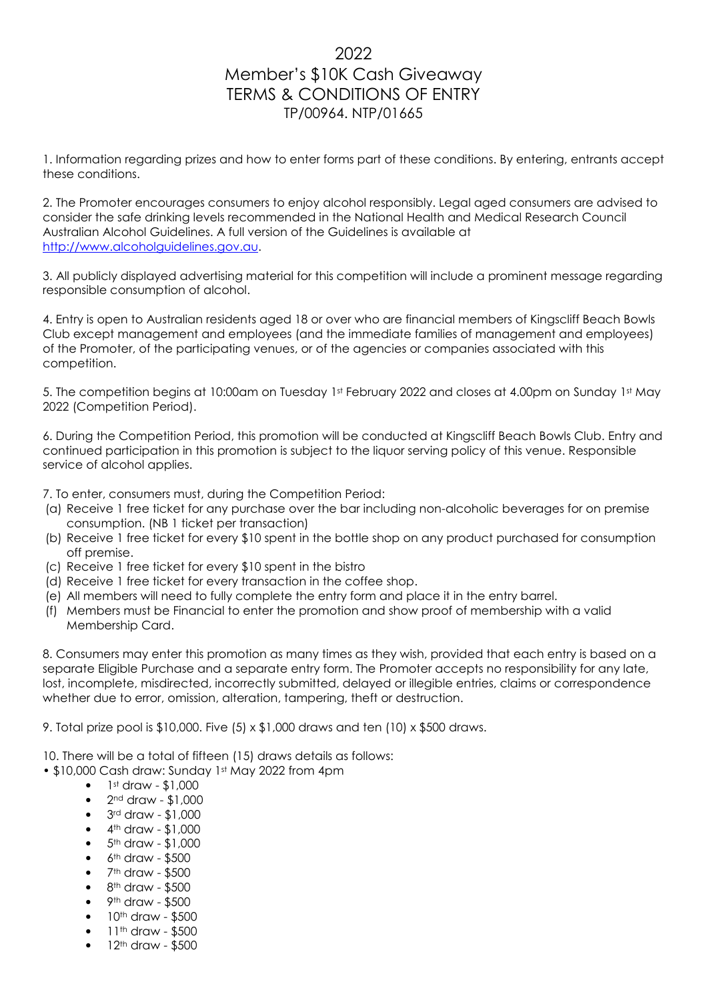## 2022 Member's \$10K Cash Giveaway TERMS & CONDITIONS OF ENTRY TP/00964. NTP/01665

1. Information regarding prizes and how to enter forms part of these conditions. By entering, entrants accept these conditions.

2. The Promoter encourages consumers to enjoy alcohol responsibly. Legal aged consumers are advised to consider the safe drinking levels recommended in the National Health and Medical Research Council Australian Alcohol Guidelines. A full version of the Guidelines is available at http://www.alcoholguidelines.gov.au.

3. All publicly displayed advertising material for this competition will include a prominent message regarding responsible consumption of alcohol.

4. Entry is open to Australian residents aged 18 or over who are financial members of Kingscliff Beach Bowls Club except management and employees (and the immediate families of management and employees) of the Promoter, of the participating venues, or of the agencies or companies associated with this competition.

5. The competition begins at 10:00am on Tuesday 1st February 2022 and closes at 4.00pm on Sunday 1st May 2022 (Competition Period).

6. During the Competition Period, this promotion will be conducted at Kingscliff Beach Bowls Club. Entry and continued participation in this promotion is subject to the liquor serving policy of this venue. Responsible service of alcohol applies.

7. To enter, consumers must, during the Competition Period:

- (a) Receive 1 free ticket for any purchase over the bar including non-alcoholic beverages for on premise consumption. (NB 1 ticket per transaction)
- (b) Receive 1 free ticket for every \$10 spent in the bottle shop on any product purchased for consumption off premise.
- (c) Receive 1 free ticket for every \$10 spent in the bistro
- (d) Receive 1 free ticket for every transaction in the coffee shop.
- (e) All members will need to fully complete the entry form and place it in the entry barrel.
- (f) Members must be Financial to enter the promotion and show proof of membership with a valid Membership Card.

8. Consumers may enter this promotion as many times as they wish, provided that each entry is based on a separate Eligible Purchase and a separate entry form. The Promoter accepts no responsibility for any late, lost, incomplete, misdirected, incorrectly submitted, delayed or illegible entries, claims or correspondence whether due to error, omission, alteration, tampering, theft or destruction.

9. Total prize pool is \$10,000. Five (5) x \$1,000 draws and ten (10) x \$500 draws.

10. There will be a total of fifteen (15) draws details as follows:

• \$10,000 Cash draw: Sunday 1st May 2022 from 4pm

- $\bullet$  1st draw \$1,000
- $\bullet$  2<sup>nd</sup> draw \$1,000
- 3rd draw \$1,000
- $\bullet$  4<sup>th</sup> draw \$1,000
- $5<sup>th</sup>$  draw  $$1,000$
- 6<sup>th</sup> draw \$500
- 7th draw \$500
- $\bullet$  8<sup>th</sup> draw \$500
- 9<sup>th</sup> draw \$500
- 10th draw \$500
- 11<sup>th</sup> draw \$500
- 12th draw \$500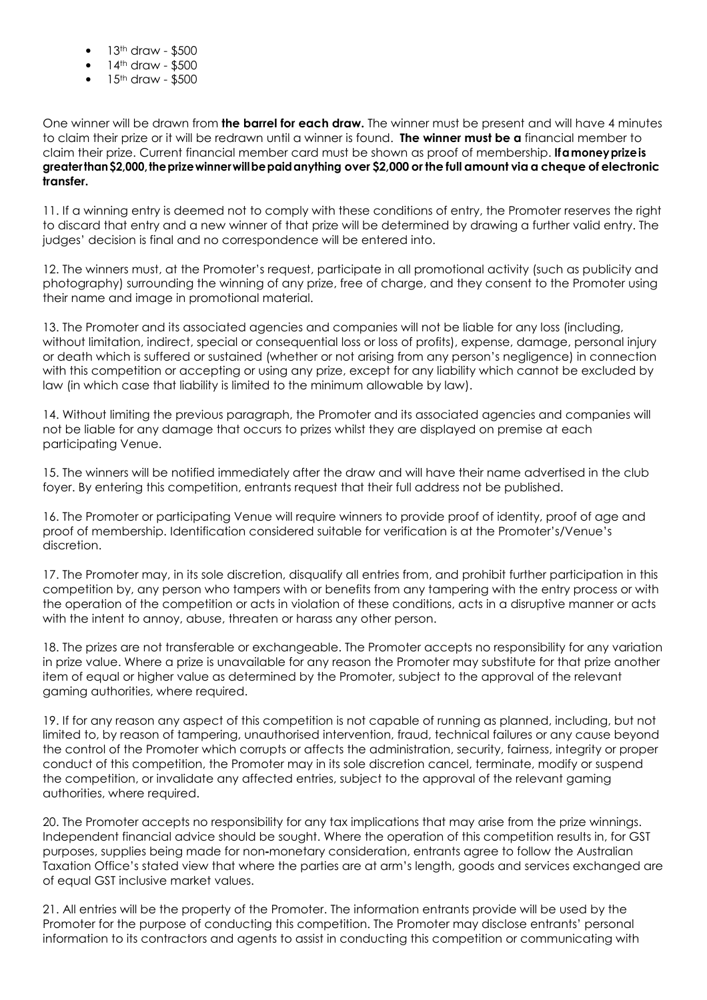- 13<sup>th</sup> draw \$500
- 14th draw \$500
- 15<sup>th</sup> draw \$500

One winner will be drawn from the barrel for each draw. The winner must be present and will have 4 minutes to claim their prize or it will be redrawn until a winner is found. **The winner must be a** financial member to claim their prize. Current financial member card must be shown as proof of membership. If a money prize is greater than \$2,000, the prize winner will be paid anything over \$2,000 or the full amount via a cheque of electronic transfer.

11. If a winning entry is deemed not to comply with these conditions of entry, the Promoter reserves the right to discard that entry and a new winner of that prize will be determined by drawing a further valid entry. The judges' decision is final and no correspondence will be entered into.

12. The winners must, at the Promoter's request, participate in all promotional activity (such as publicity and photography) surrounding the winning of any prize, free of charge, and they consent to the Promoter using their name and image in promotional material.

13. The Promoter and its associated agencies and companies will not be liable for any loss (including, without limitation, indirect, special or consequential loss or loss of profits), expense, damage, personal injury or death which is suffered or sustained (whether or not arising from any person's negligence) in connection with this competition or accepting or using any prize, except for any liability which cannot be excluded by law (in which case that liability is limited to the minimum allowable by law).

14. Without limiting the previous paragraph, the Promoter and its associated agencies and companies will not be liable for any damage that occurs to prizes whilst they are displayed on premise at each participating Venue.

15. The winners will be notified immediately after the draw and will have their name advertised in the club foyer. By entering this competition, entrants request that their full address not be published.

16. The Promoter or participating Venue will require winners to provide proof of identity, proof of age and proof of membership. Identification considered suitable for verification is at the Promoter's/Venue's discretion.

17. The Promoter may, in its sole discretion, disqualify all entries from, and prohibit further participation in this competition by, any person who tampers with or benefits from any tampering with the entry process or with the operation of the competition or acts in violation of these conditions, acts in a disruptive manner or acts with the intent to annoy, abuse, threaten or harass any other person.

18. The prizes are not transferable or exchangeable. The Promoter accepts no responsibility for any variation in prize value. Where a prize is unavailable for any reason the Promoter may substitute for that prize another item of equal or higher value as determined by the Promoter, subject to the approval of the relevant gaming authorities, where required.

19. If for any reason any aspect of this competition is not capable of running as planned, including, but not limited to, by reason of tampering, unauthorised intervention, fraud, technical failures or any cause beyond the control of the Promoter which corrupts or affects the administration, security, fairness, integrity or proper conduct of this competition, the Promoter may in its sole discretion cancel, terminate, modify or suspend the competition, or invalidate any affected entries, subject to the approval of the relevant gaming authorities, where required.

20. The Promoter accepts no responsibility for any tax implications that may arise from the prize winnings. Independent financial advice should be sought. Where the operation of this competition results in, for GST purposes, supplies being made for non‐monetary consideration, entrants agree to follow the Australian Taxation Office's stated view that where the parties are at arm's length, goods and services exchanged are of equal GST inclusive market values.

21. All entries will be the property of the Promoter. The information entrants provide will be used by the Promoter for the purpose of conducting this competition. The Promoter may disclose entrants' personal information to its contractors and agents to assist in conducting this competition or communicating with